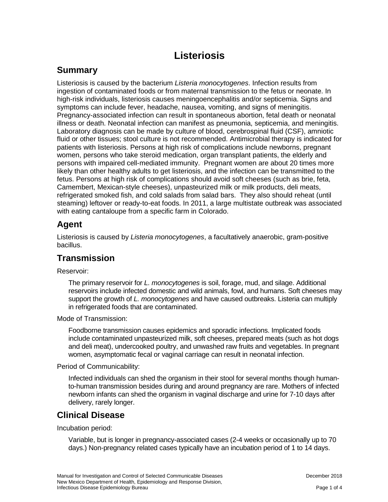# **Listeriosis**

### **Summary**

Listeriosis is caused by the bacterium *Listeria monocytogenes*. Infection results from ingestion of contaminated foods or from maternal transmission to the fetus or neonate. In high-risk individuals, listeriosis causes meningoencephalitis and/or septicemia. Signs and symptoms can include fever, headache, nausea, vomiting, and signs of meningitis. Pregnancy-associated infection can result in spontaneous abortion, fetal death or neonatal illness or death. Neonatal infection can manifest as pneumonia, septicemia, and meningitis. Laboratory diagnosis can be made by culture of blood, cerebrospinal fluid (CSF), amniotic fluid or other tissues; stool culture is not recommended. Antimicrobial therapy is indicated for patients with listeriosis. Persons at high risk of complications include newborns, pregnant women, persons who take steroid medication, organ transplant patients, the elderly and persons with impaired cell-mediated immunity. Pregnant women are about 20 times more likely than other healthy adults to get listeriosis, and the infection can be transmitted to the fetus. Persons at high risk of complications should avoid soft cheeses (such as brie, feta, Camembert, Mexican-style cheeses), unpasteurized milk or milk products, deli meats, refrigerated smoked fish, and cold salads from salad bars. They also should reheat (until steaming) leftover or ready-to-eat foods. In 2011, a large multistate outbreak was associated with eating cantaloupe from a specific farm in Colorado.

## **Agent**

Listeriosis is caused by *Listeria monocytogenes*, a facultatively anaerobic, gram-positive bacillus.

#### **Transmission**

Reservoir:

The primary reservoir for *L. monocytogenes* is soil, forage, mud, and silage. Additional reservoirs include infected domestic and wild animals, fowl, and humans. Soft cheeses may support the growth of *L. monocytogenes* and have caused outbreaks. Listeria can multiply in refrigerated foods that are contaminated.

Mode of Transmission:

Foodborne transmission causes epidemics and sporadic infections. Implicated foods include contaminated unpasteurized milk, soft cheeses, prepared meats (such as hot dogs and deli meat), undercooked poultry, and unwashed raw fruits and vegetables. In pregnant women, asymptomatic fecal or vaginal carriage can result in neonatal infection.

Period of Communicability:

Infected individuals can shed the organism in their stool for several months though humanto-human transmission besides during and around pregnancy are rare. Mothers of infected newborn infants can shed the organism in vaginal discharge and urine for 7-10 days after delivery, rarely longer.

### **Clinical Disease**

Incubation period:

Variable, but is longer in pregnancy-associated cases (2-4 weeks or occasionally up to 70 days.) Non-pregnancy related cases typically have an incubation period of 1 to 14 days.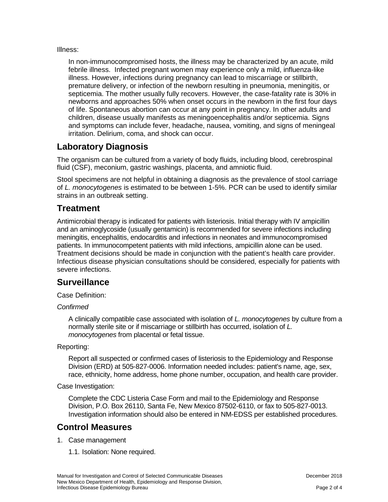Illness:

In non-immunocompromised hosts, the illness may be characterized by an acute, mild febrile illness. Infected pregnant women may experience only a mild, influenza-like illness. However, infections during pregnancy can lead to miscarriage or stillbirth, premature delivery, or infection of the newborn resulting in pneumonia, meningitis, or septicemia. The mother usually fully recovers. However, the case-fatality rate is 30% in newborns and approaches 50% when onset occurs in the newborn in the first four days of life. Spontaneous abortion can occur at any point in pregnancy. In other adults and children, disease usually manifests as meningoencephalitis and/or septicemia. Signs and symptoms can include fever, headache, nausea, vomiting, and signs of meningeal irritation. Delirium, coma, and shock can occur.

### **Laboratory Diagnosis**

The organism can be cultured from a variety of body fluids, including blood, cerebrospinal fluid (CSF), meconium, gastric washings, placenta, and amniotic fluid.

Stool specimens are not helpful in obtaining a diagnosis as the prevalence of stool carriage of *L. monocytogenes* is estimated to be between 1-5%. PCR can be used to identify similar strains in an outbreak setting.

#### **Treatment**

Antimicrobial therapy is indicated for patients with listeriosis. Initial therapy with IV ampicillin and an aminoglycoside (usually gentamicin) is recommended for severe infections including meningitis, encephalitis, endocarditis and infections in neonates and immunocompromised patients. In immunocompetent patients with mild infections, ampicillin alone can be used. Treatment decisions should be made in conjunction with the patient's health care provider. Infectious disease physician consultations should be considered, especially for patients with severe infections.

### **Surveillance**

Case Definition:

#### *Confirmed*

A clinically compatible case associated with isolation of *L. monocytogenes* by culture from a normally sterile site or if miscarriage or stillbirth has occurred, isolation of *L. monocytogenes* from placental or fetal tissue.

#### Reporting:

Report all suspected or confirmed cases of listeriosis to the Epidemiology and Response Division (ERD) at 505-827-0006. Information needed includes: patient's name, age, sex, race, ethnicity, home address, home phone number, occupation, and health care provider.

Case Investigation:

Complete the CDC Listeria Case Form and mail to the Epidemiology and Response Division, P.O. Box 26110, Santa Fe, New Mexico 87502-6110, or fax to 505-827-0013. Investigation information should also be entered in NM-EDSS per established procedures.

# **Control Measures**

- 1. Case management
	- 1.1. Isolation: None required.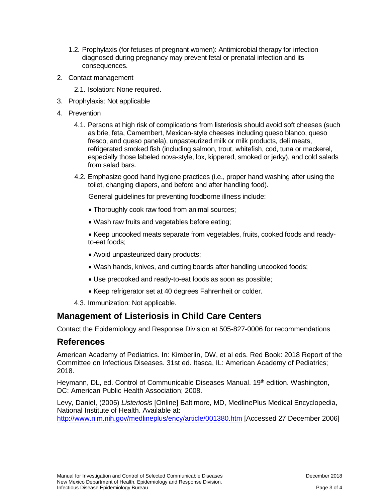- 1.2. Prophylaxis (for fetuses of pregnant women): Antimicrobial therapy for infection diagnosed during pregnancy may prevent fetal or prenatal infection and its consequences.
- 2. Contact management
	- 2.1. Isolation: None required.
- 3. Prophylaxis: Not applicable
- 4. Prevention
	- 4.1. Persons at high risk of complications from listeriosis should avoid soft cheeses (such as brie, feta, Camembert, Mexican-style cheeses including queso blanco, queso fresco, and queso panela), unpasteurized milk or milk products, deli meats, refrigerated smoked fish (including salmon, trout, whitefish, cod, tuna or mackerel, especially those labeled nova-style, lox, kippered, smoked or jerky), and cold salads from salad bars.
	- 4.2. Emphasize good hand hygiene practices (i.e., proper hand washing after using the toilet, changing diapers, and before and after handling food).

General guidelines for preventing foodborne illness include:

- Thoroughly cook raw food from animal sources;
- Wash raw fruits and vegetables before eating;

• Keep uncooked meats separate from vegetables, fruits, cooked foods and readyto-eat foods;

- Avoid unpasteurized dairy products;
- Wash hands, knives, and cutting boards after handling uncooked foods;
- Use precooked and ready-to-eat foods as soon as possible;
- Keep refrigerator set at 40 degrees Fahrenheit or colder.
- 4.3. Immunization: Not applicable.

#### **Management of Listeriosis in Child Care Centers**

Contact the Epidemiology and Response Division at 505-827-0006 for recommendations

#### **References**

American Academy of Pediatrics. In: Kimberlin, DW, et al eds. Red Book: 2018 Report of the Committee on Infectious Diseases. 31st ed. Itasca, IL: American Academy of Pediatrics; 2018.

Heymann, DL, ed. Control of Communicable Diseases Manual. 19<sup>th</sup> edition. Washington, DC: American Public Health Association; 2008.

Levy, Daniel, (2005) *Listeriosis* [Online] Baltimore, MD, MedlinePlus Medical Encyclopedia, National Institute of Health. Available at:

<http://www.nlm.nih.gov/medlineplus/ency/article/001380.htm> [Accessed 27 December 2006]